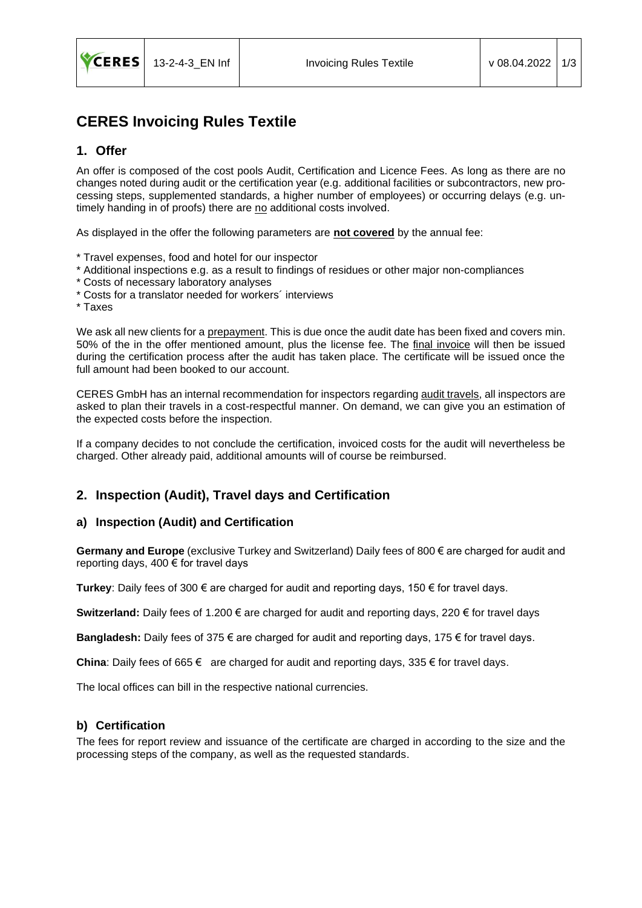

# **CERES Invoicing Rules Textile**

### **1. Offer**

An offer is composed of the cost pools Audit, Certification and Licence Fees. As long as there are no changes noted during audit or the certification year (e.g. additional facilities or subcontractors, new processing steps, supplemented standards, a higher number of employees) or occurring delays (e.g. untimely handing in of proofs) there are no additional costs involved.

As displayed in the offer the following parameters are **not covered** by the annual fee:

- \* Travel expenses, food and hotel for our inspector
- \* Additional inspections e.g. as a result to findings of residues or other major non-compliances
- \* Costs of necessary laboratory analyses
- \* Costs for a translator needed for workers´ interviews
- \* Taxes

We ask all new clients for a prepayment. This is due once the audit date has been fixed and covers min. 50% of the in the offer mentioned amount, plus the license fee. The final invoice will then be issued during the certification process after the audit has taken place. The certificate will be issued once the full amount had been booked to our account.

CERES GmbH has an internal recommendation for inspectors regarding audit travels, all inspectors are asked to plan their travels in a cost-respectful manner. On demand, we can give you an estimation of the expected costs before the inspection.

If a company decides to not conclude the certification, invoiced costs for the audit will nevertheless be charged. Other already paid, additional amounts will of course be reimbursed.

### **2. Inspection (Audit), Travel days and Certification**

#### **a) Inspection (Audit) and Certification**

**Germany and Europe** (exclusive Turkey and Switzerland) Daily fees of 800 € are charged for audit and reporting days, 400 € for travel days

**Turkey**: Daily fees of 300 € are charged for audit and reporting days, 150 € for travel days.

**Switzerland:** Daily fees of 1.200 € are charged for audit and reporting days, 220 € for travel days

**Bangladesh:** Daily fees of 375 € are charged for audit and reporting days, 175 € for travel days.

**China**: Daily fees of 665 € are charged for audit and reporting days, 335 € for travel days.

The local offices can bill in the respective national currencies.

### **b) Certification**

The fees for report review and issuance of the certificate are charged in according to the size and the processing steps of the company, as well as the requested standards.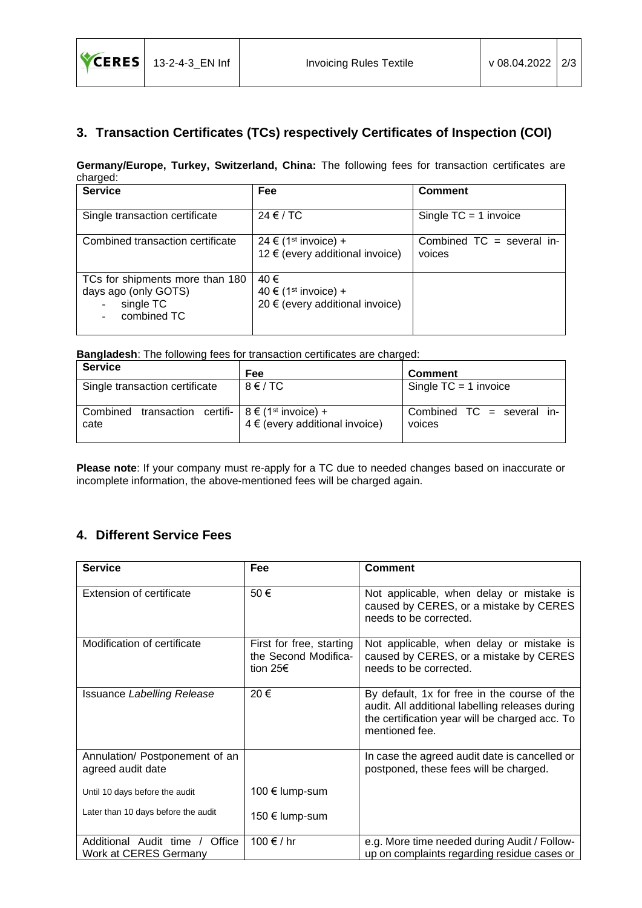## **3. Transaction Certificates (TCs) respectively Certificates of Inspection (COI)**

**Germany/Europe, Turkey, Switzerland, China:** The following fees for transaction certificates are charged:

| <b>Service</b>                                                                      | Fee                                                                         | <b>Comment</b>                        |
|-------------------------------------------------------------------------------------|-----------------------------------------------------------------------------|---------------------------------------|
| Single transaction certificate                                                      | $24 \in / TC$                                                               | Single $TC = 1$ invoice               |
| Combined transaction certificate                                                    | 24 € (1 <sup>st</sup> invoice) +<br>12 € (every additional invoice)         | Combined $TC = several$ in-<br>voices |
| TCs for shipments more than 180<br>days ago (only GOTS)<br>single TC<br>combined TC | 40 €<br>40 € (1 <sup>st</sup> invoice) +<br>20 € (every additional invoice) |                                       |

**Bangladesh**: The following fees for transaction certificates are charged:

| <b>Service</b>                                                   | Fee                                | <b>Comment</b>                      |
|------------------------------------------------------------------|------------------------------------|-------------------------------------|
| Single transaction certificate                                   | $8 \in /TC$                        | Single $TC = 1$ invoice             |
| Combined transaction certifi- $8 \notin (1st$ invoice) +<br>cate | $4 \in (every additional invoice)$ | Combined TC = several in-<br>voices |

**Please note**: If your company must re-apply for a TC due to needed changes based on inaccurate or incomplete information, the above-mentioned fees will be charged again.

## **4. Different Service Fees**

| <b>Service</b>                                             | Fee                                                                    | <b>Comment</b>                                                                                                                                                      |
|------------------------------------------------------------|------------------------------------------------------------------------|---------------------------------------------------------------------------------------------------------------------------------------------------------------------|
| Extension of certificate                                   | 50€                                                                    | Not applicable, when delay or mistake is<br>caused by CERES, or a mistake by CERES<br>needs to be corrected.                                                        |
| Modification of certificate                                | First for free, starting<br>the Second Modifica-<br>tion 25 $\epsilon$ | Not applicable, when delay or mistake is<br>caused by CERES, or a mistake by CERES<br>needs to be corrected.                                                        |
| Issuance Labelling Release                                 | 20€                                                                    | By default, 1x for free in the course of the<br>audit. All additional labelling releases during<br>the certification year will be charged acc. To<br>mentioned fee. |
| Annulation/ Postponement of an<br>agreed audit date        |                                                                        | In case the agreed audit date is cancelled or<br>postponed, these fees will be charged.                                                                             |
| Until 10 days before the audit                             | 100 € lump-sum                                                         |                                                                                                                                                                     |
| Later than 10 days before the audit                        | 150 € lump-sum                                                         |                                                                                                                                                                     |
| Additional Audit time /<br>Office<br>Work at CERES Germany | 100 € / hr                                                             | e.g. More time needed during Audit / Follow-<br>up on complaints regarding residue cases or                                                                         |